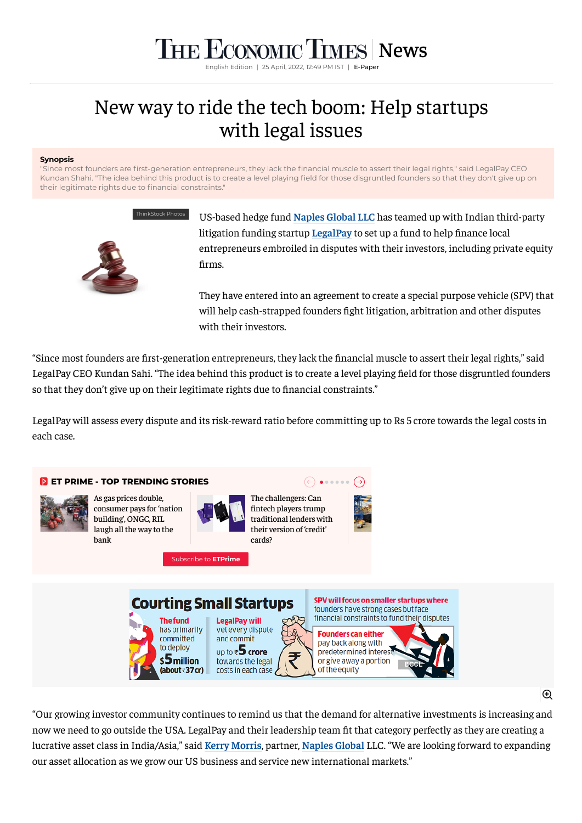## **THE ECONOMIC TIMES** [News](https://economictimes.indiatimes.com/news)

English Edition | 25 April, 2022, 12:49 PM IST | [E-Paper](https://epaper.timesgroup.com/)

## New way to ride the tech boom: Help startups with legal issues

## **Synopsis**

"Since most founders are first-generation entrepreneurs, they lack the financial muscle to assert their legal rights," said LegalPay CEO Kundan Shahi. "The idea behind this product is to create a level playing field for those disgruntled founders so that they don't give up on their legitimate rights due to financial constraints."



US-based hedge fund **[Naples Global LLC](https://economictimes.indiatimes.com/topic/naples-global-llc)** has teamed up with Indian third-party litigation funding startup **[LegalPay](https://economictimes.indiatimes.com/topic/legalpay)** to set up a fund to help finance local entrepreneurs embroiled in disputes with their investors, including private equity firms.

They have entered into an agreement to create a special purpose vehicle (SPV) that will help cash-strapped founders fight litigation, arbitration and other disputes with their investors.

"Since most founders are first-generation entrepreneurs, they lack the financial muscle to assert their legal rights," said LegalPay CEO Kundan Sahi. "The idea behind this product is to create a level playing field for those disgruntled founders so that they don't give up on their legitimate rights due to financial constraints."

LegalPay will assess every dispute and its risk-reward ratio before committing up to Rs 5 crore towards the legal costs in each case.



 $\bigoplus$ 

"Our growing investor community continues to remind us that the demand for alternative investments is increasing and now we need to go outside the USA. LegalPay and their leadership team fit that category perfectly as they are creating a lucrative asset class in India/Asia," said **[Kerry Morris](https://economictimes.indiatimes.com/topic/kerry-morris)**, partner, **[Naples Global](https://economictimes.indiatimes.com/topic/naples-global)** LLC. "We are looking forward to expanding our asset allocation as we grow our US business and service new international markets."